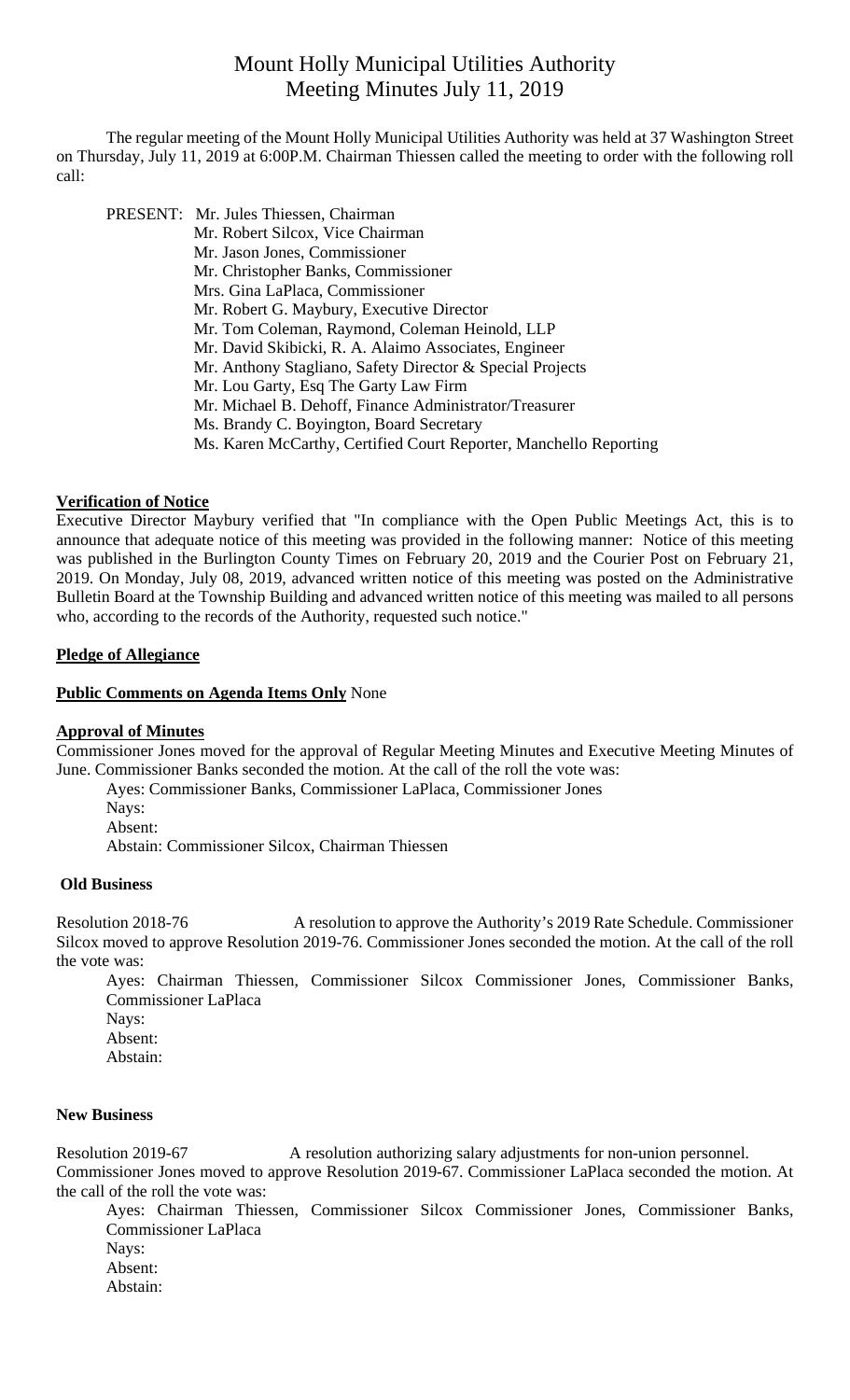# Mount Holly Municipal Utilities Authority Meeting Minutes July 11, 2019

 The regular meeting of the Mount Holly Municipal Utilities Authority was held at 37 Washington Street on Thursday, July 11, 2019 at 6:00P.M. Chairman Thiessen called the meeting to order with the following roll call:

 PRESENT: Mr. Jules Thiessen, Chairman Mr. Robert Silcox, Vice Chairman Mr. Jason Jones, Commissioner Mr. Christopher Banks, Commissioner Mrs. Gina LaPlaca, Commissioner Mr. Robert G. Maybury, Executive Director Mr. Tom Coleman, Raymond, Coleman Heinold, LLP Mr. David Skibicki, R. A. Alaimo Associates, Engineer Mr. Anthony Stagliano, Safety Director & Special Projects Mr. Lou Garty, Esq The Garty Law Firm Mr. Michael B. Dehoff, Finance Administrator/Treasurer Ms. Brandy C. Boyington, Board Secretary Ms. Karen McCarthy, Certified Court Reporter, Manchello Reporting

#### **Verification of Notice**

Executive Director Maybury verified that "In compliance with the Open Public Meetings Act, this is to announce that adequate notice of this meeting was provided in the following manner: Notice of this meeting was published in the Burlington County Times on February 20, 2019 and the Courier Post on February 21, 2019. On Monday, July 08, 2019, advanced written notice of this meeting was posted on the Administrative Bulletin Board at the Township Building and advanced written notice of this meeting was mailed to all persons who, according to the records of the Authority, requested such notice."

# **Pledge of Allegiance**

#### **Public Comments on Agenda Items Only** None

#### **Approval of Minutes**

Commissioner Jones moved for the approval of Regular Meeting Minutes and Executive Meeting Minutes of June. Commissioner Banks seconded the motion. At the call of the roll the vote was:

Ayes: Commissioner Banks, Commissioner LaPlaca, Commissioner Jones

Navs: Absent:

Abstain: Commissioner Silcox, Chairman Thiessen

#### **Old Business**

Resolution 2018-76 A resolution to approve the Authority's 2019 Rate Schedule. Commissioner Silcox moved to approve Resolution 2019-76. Commissioner Jones seconded the motion. At the call of the roll the vote was:

Ayes: Chairman Thiessen, Commissioner Silcox Commissioner Jones, Commissioner Banks, Commissioner LaPlaca Nays: Absent:

Abstain:

#### **New Business**

Resolution 2019-67 A resolution authorizing salary adjustments for non-union personnel.

Commissioner Jones moved to approve Resolution 2019-67. Commissioner LaPlaca seconded the motion. At the call of the roll the vote was:

Ayes: Chairman Thiessen, Commissioner Silcox Commissioner Jones, Commissioner Banks, Commissioner LaPlaca Nays: Absent:

Abstain: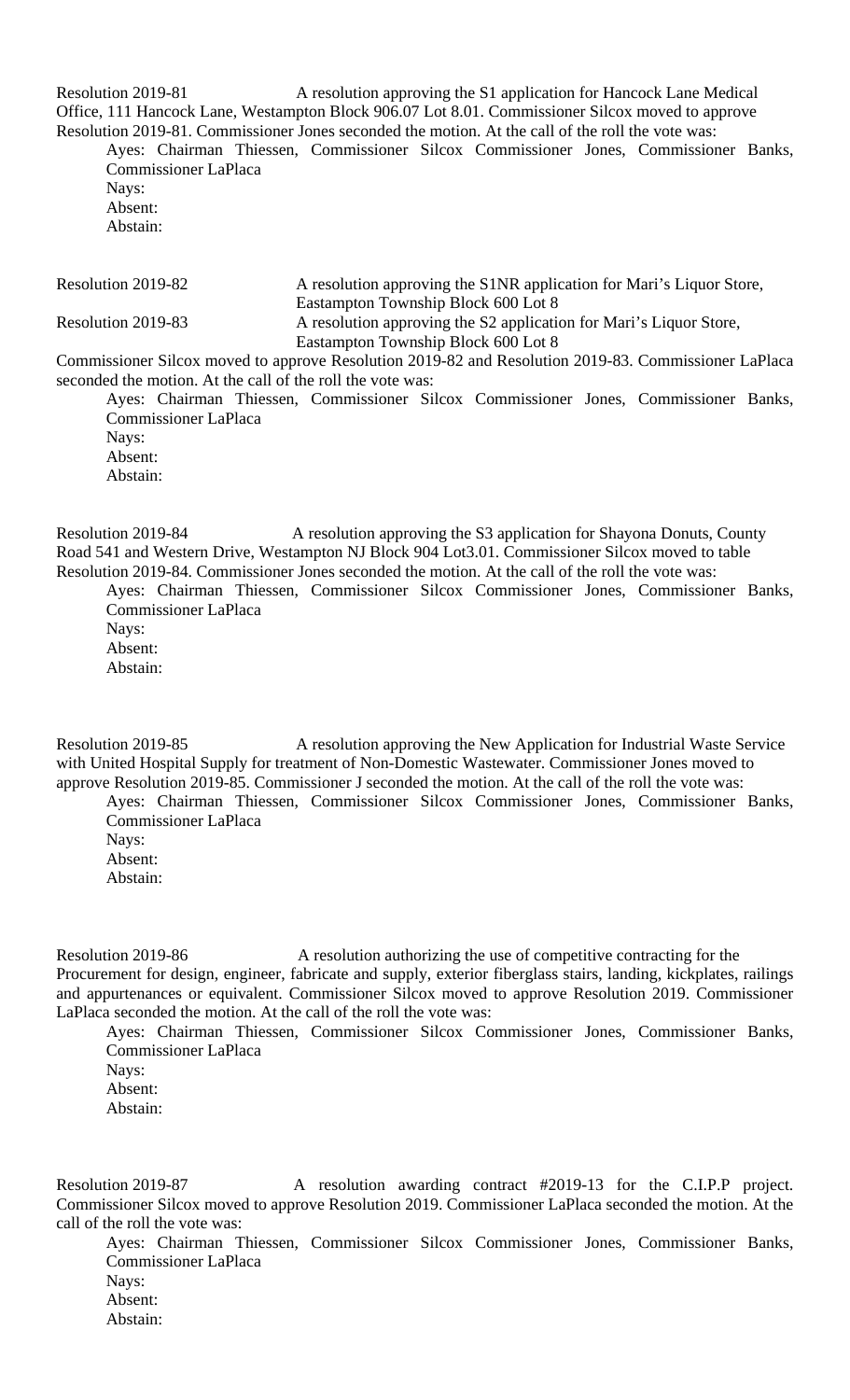Resolution 2019-81 A resolution approving the S1 application for Hancock Lane Medical Office, 111 Hancock Lane, Westampton Block 906.07 Lot 8.01. Commissioner Silcox moved to approve Resolution 2019-81. Commissioner Jones seconded the motion. At the call of the roll the vote was:

Ayes: Chairman Thiessen, Commissioner Silcox Commissioner Jones, Commissioner Banks, Commissioner LaPlaca

Nays: Absent: Abstain:

| Resolution 2019-82 | A resolution approving the S1NR application for Mari's Liquor Store,                     |
|--------------------|------------------------------------------------------------------------------------------|
|                    | Eastampton Township Block 600 Lot 8                                                      |
| Resolution 2019-83 | A resolution approving the S2 application for Mari's Liquor Store,                       |
|                    | Eastampton Township Block 600 Lot 8                                                      |
| $\sim$             | $\mathbf{D}$ is a consequently in the set of $\mathbf{D}$<br>$\sim$ $\sim$ $\sim$ $\sim$ |

Commissioner Silcox moved to approve Resolution 2019-82 and Resolution 2019-83. Commissioner LaPlaca seconded the motion. At the call of the roll the vote was:

Ayes: Chairman Thiessen, Commissioner Silcox Commissioner Jones, Commissioner Banks, Commissioner LaPlaca

Nays: Absent: Abstain:

Resolution 2019-84 A resolution approving the S3 application for Shayona Donuts, County Road 541 and Western Drive, Westampton NJ Block 904 Lot3.01. Commissioner Silcox moved to table Resolution 2019-84. Commissioner Jones seconded the motion. At the call of the roll the vote was:

Ayes: Chairman Thiessen, Commissioner Silcox Commissioner Jones, Commissioner Banks, Commissioner LaPlaca

Nays: Absent:

Abstain:

Resolution 2019-85 A resolution approving the New Application for Industrial Waste Service with United Hospital Supply for treatment of Non-Domestic Wastewater. Commissioner Jones moved to approve Resolution 2019-85. Commissioner J seconded the motion. At the call of the roll the vote was:

Ayes: Chairman Thiessen, Commissioner Silcox Commissioner Jones, Commissioner Banks, Commissioner LaPlaca

Nays: Absent:

Abstain:

Resolution 2019-86 A resolution authorizing the use of competitive contracting for the Procurement for design, engineer, fabricate and supply, exterior fiberglass stairs, landing, kickplates, railings and appurtenances or equivalent. Commissioner Silcox moved to approve Resolution 2019. Commissioner LaPlaca seconded the motion. At the call of the roll the vote was:

Ayes: Chairman Thiessen, Commissioner Silcox Commissioner Jones, Commissioner Banks, Commissioner LaPlaca

Nays: Absent:

Abstain:

Resolution 2019-87 A resolution awarding contract #2019-13 for the C.I.P.P project. Commissioner Silcox moved to approve Resolution 2019. Commissioner LaPlaca seconded the motion. At the call of the roll the vote was:

Ayes: Chairman Thiessen, Commissioner Silcox Commissioner Jones, Commissioner Banks, Commissioner LaPlaca Nays: Absent: Abstain: